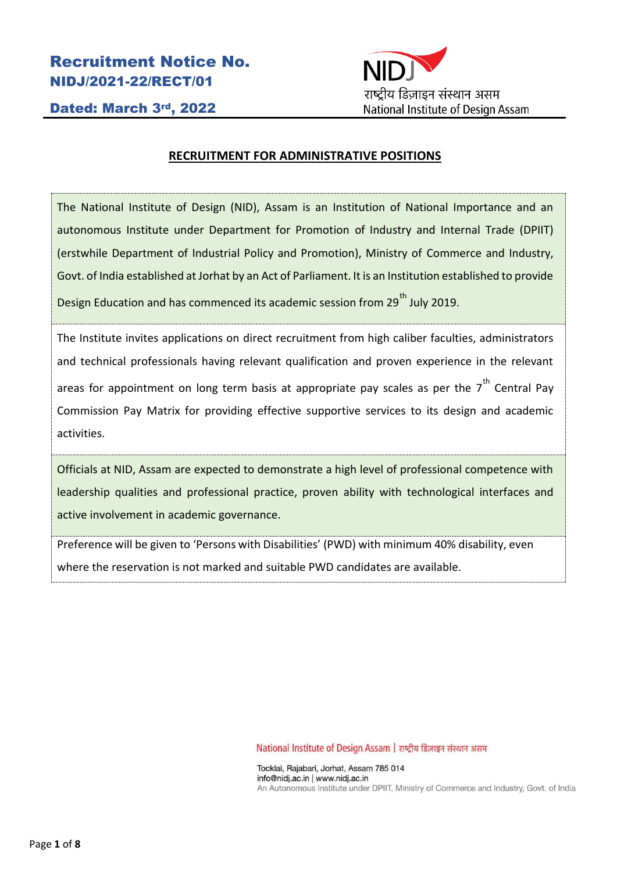Recruitment Notice No. NIDJ/2021-22/RECT/01



Dated: March 3rd, 2022

## **RECRUITMENT FOR ADMINISTRATIVE POSITIONS**

The National Institute of Design (NID), Assam is an Institution of National Importance and an autonomous Institute under Department for Promotion of Industry and Internal Trade (DPIIT) (erstwhile Department of Industrial Policy and Promotion), Ministry of Commerce and Industry, Govt. of India established at Jorhat by an Act of Parliament. It is an Institution established to provide Design Education and has commenced its academic session from 29<sup>th</sup> July 2019.

The Institute invites applications on direct recruitment from high caliber faculties, administrators and technical professionals having relevant qualification and proven experience in the relevant areas for appointment on long term basis at appropriate pay scales as per the  $7<sup>th</sup>$  Central Pay

Commission Pay Matrix for providing effective supportive services to its design and academic activities.

Officials at NID, Assam are expected to demonstrate a high level of professional competence with leadership qualities and professional practice, proven ability with technological interfaces and active involvement in academic governance.

Preference will be given to 'Persons with Disabilities' (PWD) with minimum 40% disability, even where the reservation is not marked and suitable PWD candidates are available.

National Institute of Design Assam | राष्ट्रीय डिज़ाइन संस्थान असम

Tocklai, Rajabari, Jorhat, Assam 785 014 info@nidj.ac.in | www.nidj.ac.in An Autonomous Institute under DPIIT, Ministry of Commerce and Industry, Govt. of India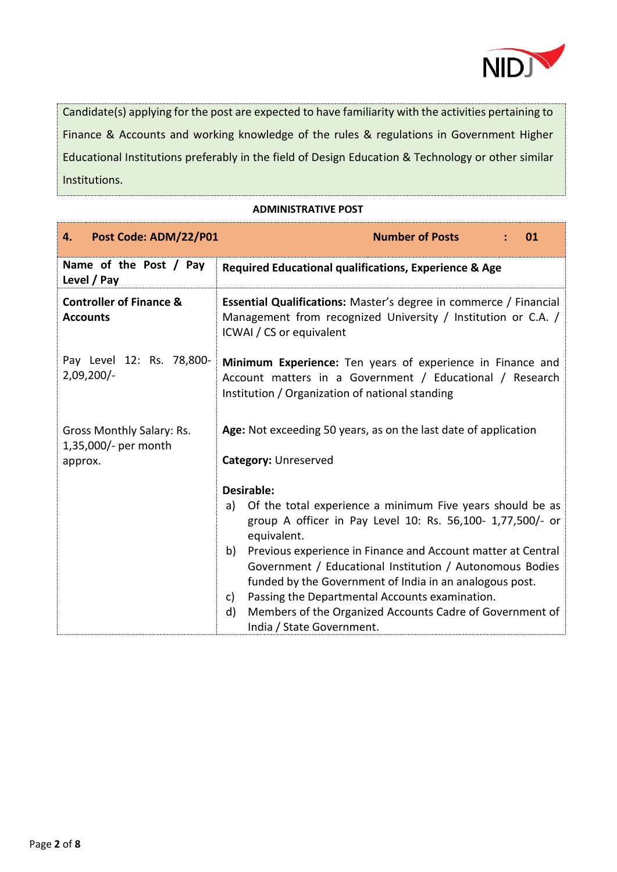

Candidate(s) applying for the post are expected to have familiarity with the activities pertaining to Finance & Accounts and working knowledge of the rules & regulations in Government Higher Educational Institutions preferably in the field of Design Education & Technology or other similar Institutions.

**ADMINISTRATIVE POST**

| Post Code: ADM/22/P01<br>4.                                  | <b>Number of Posts</b><br>01                                                                                                                                                                                                                                                                                                                                                                                                                                                                                   |  |  |
|--------------------------------------------------------------|----------------------------------------------------------------------------------------------------------------------------------------------------------------------------------------------------------------------------------------------------------------------------------------------------------------------------------------------------------------------------------------------------------------------------------------------------------------------------------------------------------------|--|--|
| Name of the Post / Pay<br>Level / Pay                        | Required Educational qualifications, Experience & Age                                                                                                                                                                                                                                                                                                                                                                                                                                                          |  |  |
| <b>Controller of Finance &amp;</b><br><b>Accounts</b>        | Essential Qualifications: Master's degree in commerce / Financial<br>Management from recognized University / Institution or C.A. /<br>ICWAI / CS or equivalent                                                                                                                                                                                                                                                                                                                                                 |  |  |
| Pay Level 12: Rs. 78,800-<br>$2,09,200/-$                    | Minimum Experience: Ten years of experience in Finance and<br>Account matters in a Government / Educational / Research<br>Institution / Organization of national standing                                                                                                                                                                                                                                                                                                                                      |  |  |
| Gross Monthly Salary: Rs.<br>1,35,000/- per month<br>approx. | Age: Not exceeding 50 years, as on the last date of application<br>Category: Unreserved                                                                                                                                                                                                                                                                                                                                                                                                                        |  |  |
|                                                              | Desirable:<br>Of the total experience a minimum Five years should be as<br>a)<br>group A officer in Pay Level 10: Rs. 56,100- 1,77,500/- or<br>equivalent.<br>Previous experience in Finance and Account matter at Central<br>b)<br>Government / Educational Institution / Autonomous Bodies<br>funded by the Government of India in an analogous post.<br>Passing the Departmental Accounts examination.<br>C)<br>Members of the Organized Accounts Cadre of Government of<br>d)<br>India / State Government. |  |  |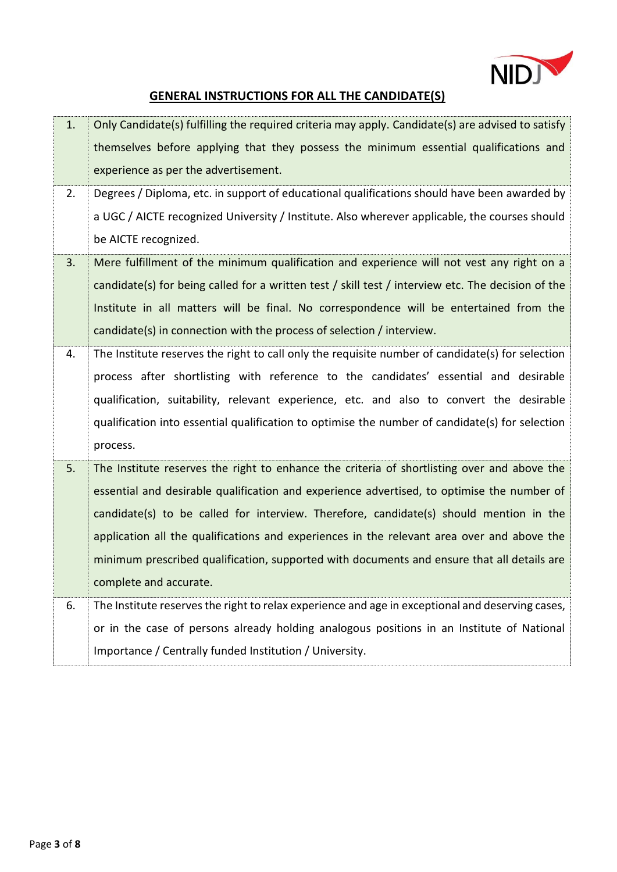

## **GENERAL INSTRUCTIONS FOR ALL THE CANDIDATE(S)**

| 1. | Only Candidate(s) fulfilling the required criteria may apply. Candidate(s) are advised to satisfy  |
|----|----------------------------------------------------------------------------------------------------|
|    | themselves before applying that they possess the minimum essential qualifications and              |
|    | experience as per the advertisement.                                                               |
| 2. | Degrees / Diploma, etc. in support of educational qualifications should have been awarded by       |
|    | a UGC / AICTE recognized University / Institute. Also wherever applicable, the courses should      |
|    | be AICTE recognized.                                                                               |
| 3. | Mere fulfillment of the minimum qualification and experience will not vest any right on a          |
|    | candidate(s) for being called for a written test / skill test / interview etc. The decision of the |
|    | Institute in all matters will be final. No correspondence will be entertained from the             |
|    | candidate(s) in connection with the process of selection / interview.                              |
| 4. | The Institute reserves the right to call only the requisite number of candidate(s) for selection   |
|    | process after shortlisting with reference to the candidates' essential and desirable               |
|    | qualification, suitability, relevant experience, etc. and also to convert the desirable            |
|    | qualification into essential qualification to optimise the number of candidate(s) for selection    |
|    | process.                                                                                           |
| 5. | The Institute reserves the right to enhance the criteria of shortlisting over and above the        |
|    | essential and desirable qualification and experience advertised, to optimise the number of         |
|    | candidate(s) to be called for interview. Therefore, candidate(s) should mention in the             |
|    | application all the qualifications and experiences in the relevant area over and above the         |
|    | minimum prescribed qualification, supported with documents and ensure that all details are         |
|    | complete and accurate.                                                                             |
| 6. | The Institute reserves the right to relax experience and age in exceptional and deserving cases,   |
|    | or in the case of persons already holding analogous positions in an Institute of National          |
|    | Importance / Centrally funded Institution / University.                                            |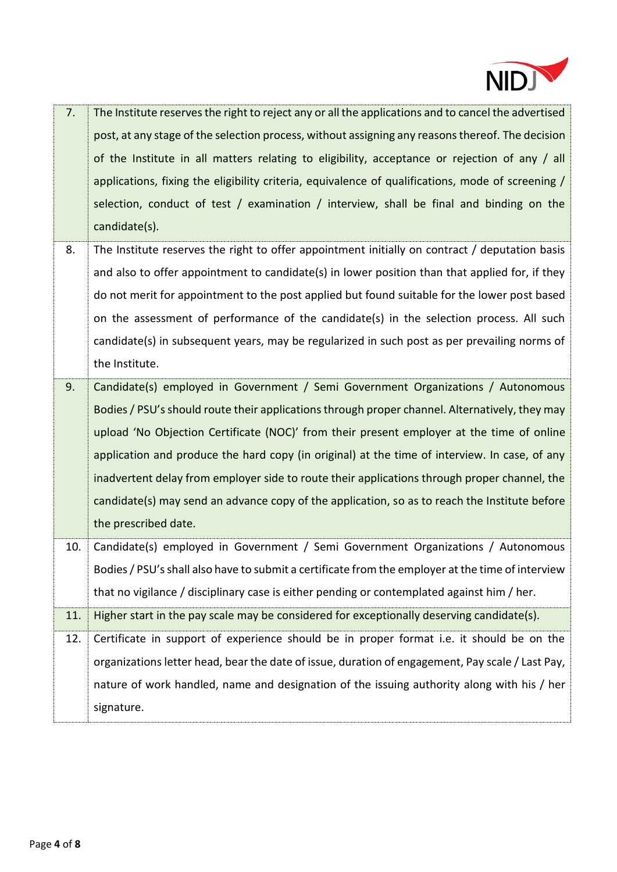

| 7.  | The Institute reserves the right to reject any or all the applications and to cancel the advertised<br>post, at any stage of the selection process, without assigning any reasons thereof. The decision<br>of the Institute in all matters relating to eligibility, acceptance or rejection of any / all<br>applications, fixing the eligibility criteria, equivalence of qualifications, mode of screening /<br>selection, conduct of test / examination / interview, shall be final and binding on the<br>candidate(s).                                                                                 |
|-----|-----------------------------------------------------------------------------------------------------------------------------------------------------------------------------------------------------------------------------------------------------------------------------------------------------------------------------------------------------------------------------------------------------------------------------------------------------------------------------------------------------------------------------------------------------------------------------------------------------------|
| 8.  | The Institute reserves the right to offer appointment initially on contract / deputation basis<br>and also to offer appointment to candidate(s) in lower position than that applied for, if they<br>do not merit for appointment to the post applied but found suitable for the lower post based<br>on the assessment of performance of the candidate(s) in the selection process. All such<br>candidate(s) in subsequent years, may be regularized in such post as per prevailing norms of<br>the Institute.                                                                                             |
| 9.  | Candidate(s) employed in Government / Semi Government Organizations / Autonomous<br>Bodies / PSU's should route their applications through proper channel. Alternatively, they may<br>upload 'No Objection Certificate (NOC)' from their present employer at the time of online<br>application and produce the hard copy (in original) at the time of interview. In case, of any<br>inadvertent delay from employer side to route their applications through proper channel, the<br>candidate(s) may send an advance copy of the application, so as to reach the Institute before<br>the prescribed date. |
| 10. | Candidate(s) employed in Government / Semi Government Organizations / Autonomous<br>Bodies / PSU's shall also have to submit a certificate from the employer at the time of interview<br>that no vigilance / disciplinary case is either pending or contemplated against him / her.                                                                                                                                                                                                                                                                                                                       |
| 11. | Higher start in the pay scale may be considered for exceptionally deserving candidate(s).                                                                                                                                                                                                                                                                                                                                                                                                                                                                                                                 |
| 12. | Certificate in support of experience should be in proper format i.e. it should be on the<br>organizations letter head, bear the date of issue, duration of engagement, Pay scale / Last Pay,<br>nature of work handled, name and designation of the issuing authority along with his / her<br>signature.                                                                                                                                                                                                                                                                                                  |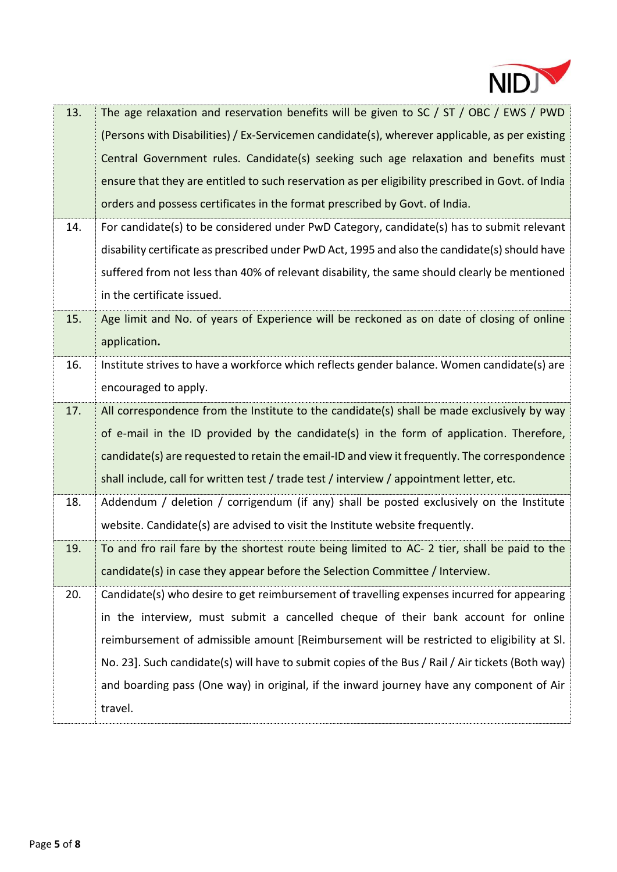

| (Persons with Disabilities) / Ex-Servicemen candidate(s), wherever applicable, as per existing<br>Central Government rules. Candidate(s) seeking such age relaxation and benefits must<br>ensure that they are entitled to such reservation as per eligibility prescribed in Govt. of India<br>orders and possess certificates in the format prescribed by Govt. of India. |  |
|----------------------------------------------------------------------------------------------------------------------------------------------------------------------------------------------------------------------------------------------------------------------------------------------------------------------------------------------------------------------------|--|
|                                                                                                                                                                                                                                                                                                                                                                            |  |
|                                                                                                                                                                                                                                                                                                                                                                            |  |
|                                                                                                                                                                                                                                                                                                                                                                            |  |
|                                                                                                                                                                                                                                                                                                                                                                            |  |
| 14.<br>For candidate(s) to be considered under PwD Category, candidate(s) has to submit relevant                                                                                                                                                                                                                                                                           |  |
| disability certificate as prescribed under PwD Act, 1995 and also the candidate(s) should have                                                                                                                                                                                                                                                                             |  |
| suffered from not less than 40% of relevant disability, the same should clearly be mentioned                                                                                                                                                                                                                                                                               |  |
| in the certificate issued.                                                                                                                                                                                                                                                                                                                                                 |  |
| Age limit and No. of years of Experience will be reckoned as on date of closing of online<br>15.                                                                                                                                                                                                                                                                           |  |
| application.                                                                                                                                                                                                                                                                                                                                                               |  |
| Institute strives to have a workforce which reflects gender balance. Women candidate(s) are<br>16.                                                                                                                                                                                                                                                                         |  |
| encouraged to apply.                                                                                                                                                                                                                                                                                                                                                       |  |
| All correspondence from the Institute to the candidate(s) shall be made exclusively by way<br>17.                                                                                                                                                                                                                                                                          |  |
| of e-mail in the ID provided by the candidate(s) in the form of application. Therefore,                                                                                                                                                                                                                                                                                    |  |
| candidate(s) are requested to retain the email-ID and view it frequently. The correspondence                                                                                                                                                                                                                                                                               |  |
| shall include, call for written test / trade test / interview / appointment letter, etc.                                                                                                                                                                                                                                                                                   |  |
| 18.<br>Addendum / deletion / corrigendum (if any) shall be posted exclusively on the Institute                                                                                                                                                                                                                                                                             |  |
| website. Candidate(s) are advised to visit the Institute website frequently.                                                                                                                                                                                                                                                                                               |  |
| To and fro rail fare by the shortest route being limited to AC-2 tier, shall be paid to the<br>19.                                                                                                                                                                                                                                                                         |  |
| candidate(s) in case they appear before the Selection Committee / Interview.                                                                                                                                                                                                                                                                                               |  |
| 20.<br>Candidate(s) who desire to get reimbursement of travelling expenses incurred for appearing                                                                                                                                                                                                                                                                          |  |
| in the interview, must submit a cancelled cheque of their bank account for online                                                                                                                                                                                                                                                                                          |  |
|                                                                                                                                                                                                                                                                                                                                                                            |  |
| reimbursement of admissible amount [Reimbursement will be restricted to eligibility at SI.                                                                                                                                                                                                                                                                                 |  |
| No. 23]. Such candidate(s) will have to submit copies of the Bus / Rail / Air tickets (Both way)                                                                                                                                                                                                                                                                           |  |
| and boarding pass (One way) in original, if the inward journey have any component of Air                                                                                                                                                                                                                                                                                   |  |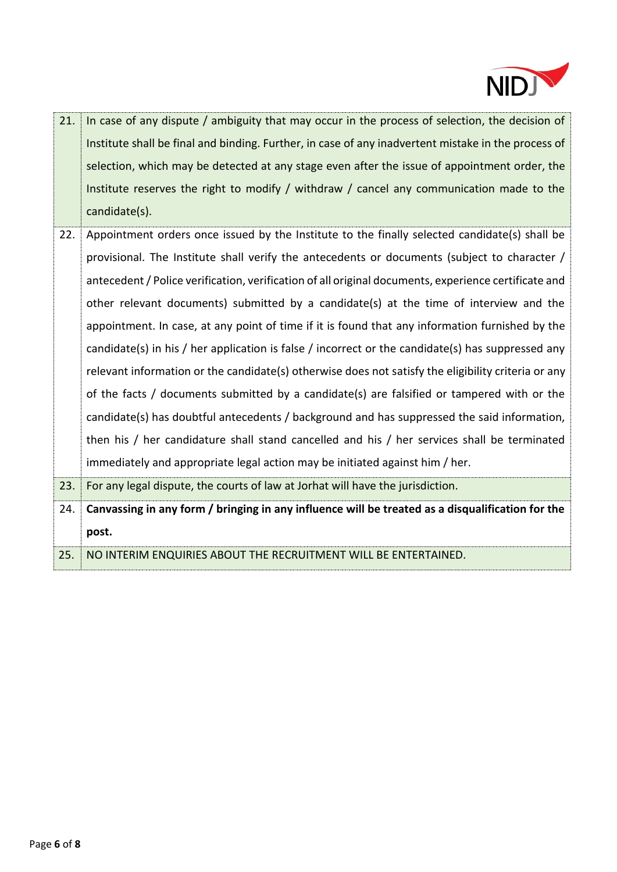

| 21. | In case of any dispute / ambiguity that may occur in the process of selection, the decision of       |
|-----|------------------------------------------------------------------------------------------------------|
|     | Institute shall be final and binding. Further, in case of any inadvertent mistake in the process of  |
|     | selection, which may be detected at any stage even after the issue of appointment order, the         |
|     | Institute reserves the right to modify / withdraw / cancel any communication made to the             |
|     | candidate(s).                                                                                        |
| 22. | Appointment orders once issued by the Institute to the finally selected candidate(s) shall be        |
|     | provisional. The Institute shall verify the antecedents or documents (subject to character /         |
|     | antecedent / Police verification, verification of all original documents, experience certificate and |
|     | other relevant documents) submitted by a candidate(s) at the time of interview and the               |
|     | appointment. In case, at any point of time if it is found that any information furnished by the      |
|     | candidate(s) in his / her application is false / incorrect or the candidate(s) has suppressed any    |
|     | relevant information or the candidate(s) otherwise does not satisfy the eligibility criteria or any  |
|     | of the facts / documents submitted by a candidate(s) are falsified or tampered with or the           |
|     | candidate(s) has doubtful antecedents / background and has suppressed the said information,          |
|     | then his / her candidature shall stand cancelled and his / her services shall be terminated          |
|     | immediately and appropriate legal action may be initiated against him / her.                         |
| 23. | For any legal dispute, the courts of law at Jorhat will have the jurisdiction.                       |
| 24. | Canvassing in any form / bringing in any influence will be treated as a disqualification for the     |
|     | post.                                                                                                |
| 25. | NO INTERIM ENQUIRIES ABOUT THE RECRUITMENT WILL BE ENTERTAINED.                                      |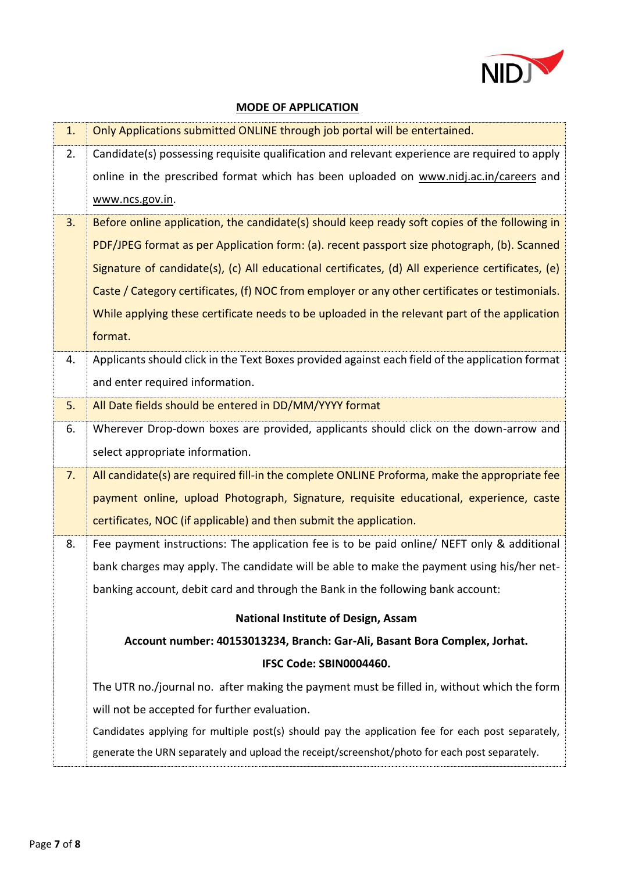

## **MODE OF APPLICATION**

| 1. | Only Applications submitted ONLINE through job portal will be entertained.                        |  |  |
|----|---------------------------------------------------------------------------------------------------|--|--|
| 2. | Candidate(s) possessing requisite qualification and relevant experience are required to apply     |  |  |
|    | online in the prescribed format which has been uploaded on www.nidj.ac.in/careers and             |  |  |
|    | www.ncs.gov.in.                                                                                   |  |  |
| 3. | Before online application, the candidate(s) should keep ready soft copies of the following in     |  |  |
|    | PDF/JPEG format as per Application form: (a). recent passport size photograph, (b). Scanned       |  |  |
|    | Signature of candidate(s), (c) All educational certificates, (d) All experience certificates, (e) |  |  |
|    | Caste / Category certificates, (f) NOC from employer or any other certificates or testimonials.   |  |  |
|    | While applying these certificate needs to be uploaded in the relevant part of the application     |  |  |
|    | format.                                                                                           |  |  |
| 4. | Applicants should click in the Text Boxes provided against each field of the application format   |  |  |
|    | and enter required information.                                                                   |  |  |
| 5. | All Date fields should be entered in DD/MM/YYYY format                                            |  |  |
| 6. | Wherever Drop-down boxes are provided, applicants should click on the down-arrow and              |  |  |
|    | select appropriate information.                                                                   |  |  |
| 7. | All candidate(s) are required fill-in the complete ONLINE Proforma, make the appropriate fee      |  |  |
|    | payment online, upload Photograph, Signature, requisite educational, experience, caste            |  |  |
|    | certificates, NOC (if applicable) and then submit the application.                                |  |  |
| 8. | Fee payment instructions: The application fee is to be paid online/ NEFT only & additional        |  |  |
|    | bank charges may apply. The candidate will be able to make the payment using his/her net-         |  |  |
|    | banking account, debit card and through the Bank in the following bank account:                   |  |  |
|    | <b>National Institute of Design, Assam</b>                                                        |  |  |
|    | Account number: 40153013234, Branch: Gar-Ali, Basant Bora Complex, Jorhat.                        |  |  |
|    | IFSC Code: SBIN0004460.                                                                           |  |  |
|    | The UTR no./journal no. after making the payment must be filled in, without which the form        |  |  |
|    | will not be accepted for further evaluation.                                                      |  |  |
|    | Candidates applying for multiple post(s) should pay the application fee for each post separately, |  |  |
|    | generate the URN separately and upload the receipt/screenshot/photo for each post separately.     |  |  |